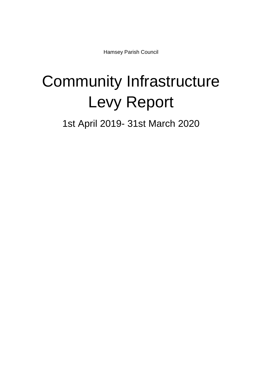Hamsey Parish Council

## Community Infrastructure Levy Report

1st April 2019- 31st March 2020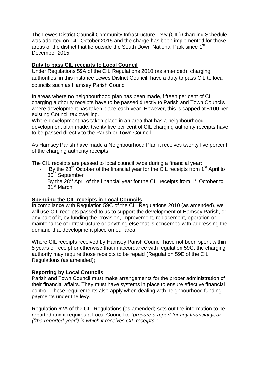The Lewes District Council Community Infrastructure Levy (CIL) Charging Schedule was adopted on 14<sup>th</sup> October 2015 and the charge has been implemented for those areas of the district that lie outside the South Down National Park since 1<sup>st</sup> December 2015.

## **Duty to pass CIL receipts to Local Council**

Under Regulations 59A of the CIL Regulations 2010 (as amended), charging authorities, in this instance Lewes District Council, have a duty to pass CIL to local councils such as Hamsey Parish Council

In areas where no neighbourhood plan has been made, fifteen per cent of CIL charging authority receipts have to be passed directly to Parish and Town Councils where development has taken place each year. However, this is capped at £100 per existing Council tax dwelling.

Where development has taken place in an area that has a neighbourhood development plan made, twenty five per cent of CIL charging authority receipts have to be passed directly to the Parish or Town Council.

As Hamsey Parish have made a Neighbourhood Plan it receives twenty five percent of the charging authority receipts.

The CIL receipts are passed to local council twice during a financial year:

- By the 28<sup>th</sup> October of the financial year for the CIL receipts from 1<sup>st</sup> April to 30<sup>th</sup> September
- By the  $28<sup>th</sup>$  April of the financial year for the CIL receipts from 1<sup>st</sup> October to 31st March

## **Spending the CIL receipts in Local Councils**

In compliance with Regulation 59C of the CIL Regulations 2010 (as amended), we will use CIL receipts passed to us to support the development of Hamsey Parish, or any part of it, by funding the provision, improvement, replacement, operation or maintenance of infrastructure or anything else that is concerned with addressing the demand that development place on our area.

Where CIL receipts received by Hamsey Parish Council have not been spent within 5 years of receipt or otherwise that in accordance with regulation 59C, the charging authority may require those receipts to be repaid (Regulation 59E of the CIL Regulations (as amended))

## **Reporting by Local Councils**

Parish and Town Council must make arrangements for the proper administration of their financial affairs. They must have systems in place to ensure effective financial control. These requirements also apply when dealing with neighbourhood funding payments under the levy.

Regulation 62A of the CIL Regulations (as amended) sets out the information to be reported and it requires a Local Council to *"prepare a report for any financial year ("the reported year") in which it receives CIL receipts."*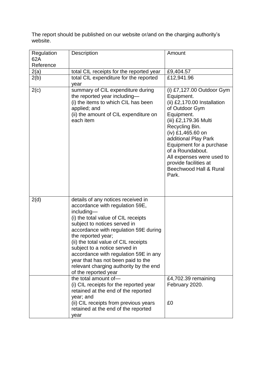The report should be published on our website or/and on the charging authority's website.

| Regulation       | Description                                                                                                                                                                                                                                                                                                                                                                                                                                         | Amount                                                                                                                                                                                                                                                                                                                                    |
|------------------|-----------------------------------------------------------------------------------------------------------------------------------------------------------------------------------------------------------------------------------------------------------------------------------------------------------------------------------------------------------------------------------------------------------------------------------------------------|-------------------------------------------------------------------------------------------------------------------------------------------------------------------------------------------------------------------------------------------------------------------------------------------------------------------------------------------|
| 62A<br>Reference |                                                                                                                                                                                                                                                                                                                                                                                                                                                     |                                                                                                                                                                                                                                                                                                                                           |
| 2(a)             | total CIL receipts for the reported year                                                                                                                                                                                                                                                                                                                                                                                                            | £9,404.57                                                                                                                                                                                                                                                                                                                                 |
| 2(b)             | total CIL expenditure for the reported<br>year                                                                                                                                                                                                                                                                                                                                                                                                      | £12,941.96                                                                                                                                                                                                                                                                                                                                |
| 2(c)             | summary of CIL expenditure during<br>the reported year including-<br>(i) the items to which CIL has been<br>applied; and<br>(ii) the amount of CIL expenditure on<br>each item                                                                                                                                                                                                                                                                      | (i) $£7,127.00$ Outdoor Gym<br>Equipment.<br>(ii) £2,170.00 Installation<br>of Outdoor Gym<br>Equipment.<br>(iii) £2,179.36 Multi<br>Recycling Bin.<br>(iv) £1,465.60 on<br>additional Play Park<br>Equipment for a purchase<br>of a Roundabout.<br>All expenses were used to<br>provide facilities at<br>Beechwood Hall & Rural<br>Park. |
| 2(d)             | details of any notices received in<br>accordance with regulation 59E,<br>including-<br>(i) the total value of CIL receipts<br>subject to notices served in<br>accordance with regulation 59E during<br>the reported year;<br>(ii) the total value of CIL receipts<br>subject to a notice served in<br>accordance with regulation 59E in any<br>year that has not been paid to the<br>relevant charging authority by the end<br>of the reported year |                                                                                                                                                                                                                                                                                                                                           |
|                  | the total amount of-<br>(i) CIL receipts for the reported year<br>retained at the end of the reported<br>year; and<br>(ii) CIL receipts from previous years<br>retained at the end of the reported<br>year                                                                                                                                                                                                                                          | £4,702.39 remaining<br>February 2020.<br>£0                                                                                                                                                                                                                                                                                               |